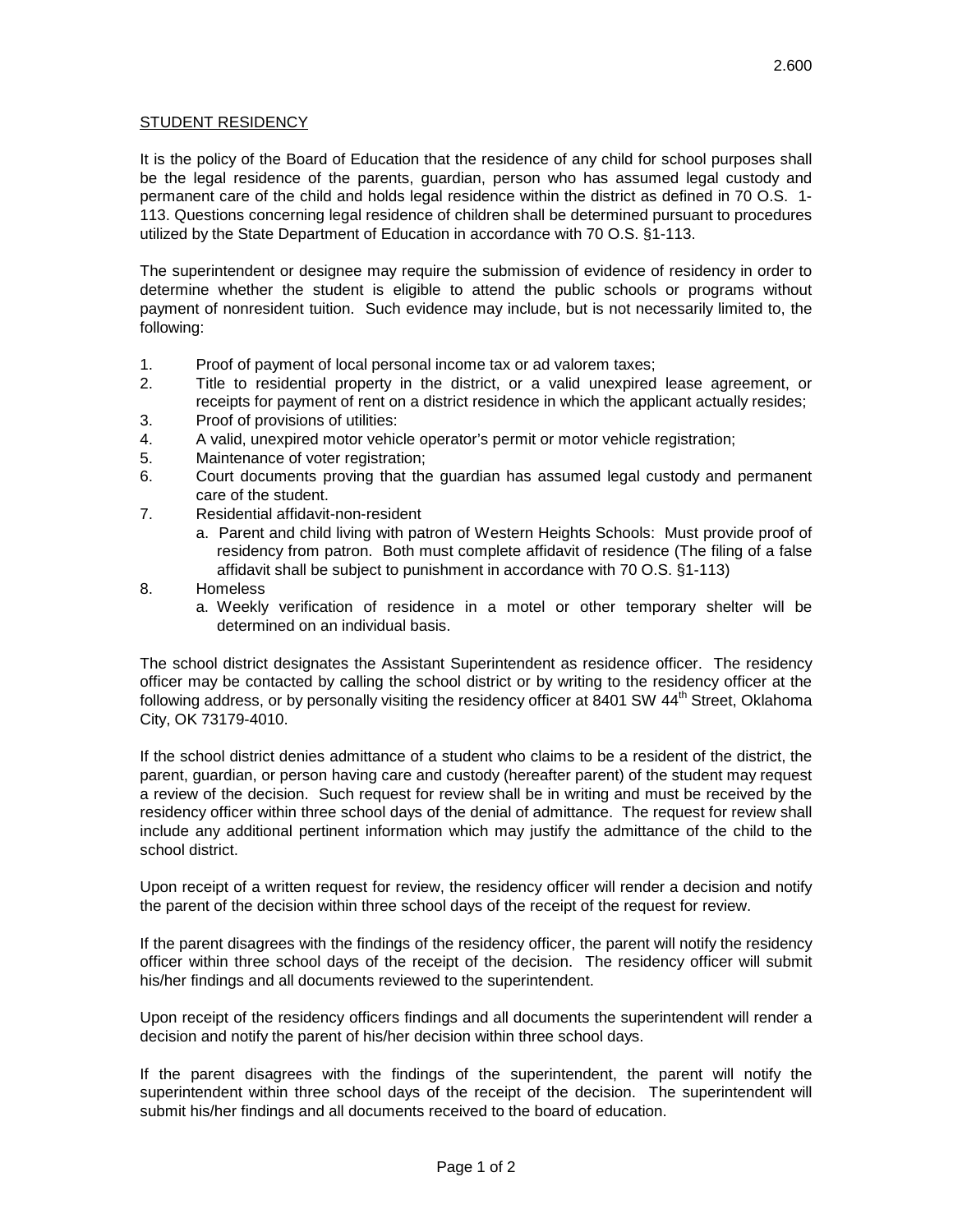## STUDENT RESIDENCY

It is the policy of the Board of Education that the residence of any child for school purposes shall be the legal residence of the parents, guardian, person who has assumed legal custody and permanent care of the child and holds legal residence within the district as defined in 70 O.S. 1- 113. Questions concerning legal residence of children shall be determined pursuant to procedures utilized by the State Department of Education in accordance with 70 O.S. §1-113.

The superintendent or designee may require the submission of evidence of residency in order to determine whether the student is eligible to attend the public schools or programs without payment of nonresident tuition. Such evidence may include, but is not necessarily limited to, the following:

- 1. Proof of payment of local personal income tax or ad valorem taxes;
- 2. Title to residential property in the district, or a valid unexpired lease agreement, or receipts for payment of rent on a district residence in which the applicant actually resides;
- 3. Proof of provisions of utilities:
- 4. A valid, unexpired motor vehicle operator's permit or motor vehicle registration;
- 5. Maintenance of voter registration;
- 6. Court documents proving that the guardian has assumed legal custody and permanent care of the student.
- 7. Residential affidavit-non-resident
	- a. Parent and child living with patron of Western Heights Schools: Must provide proof of residency from patron. Both must complete affidavit of residence (The filing of a false affidavit shall be subject to punishment in accordance with 70 O.S. §1-113)
- 8. Homeless
	- a. Weekly verification of residence in a motel or other temporary shelter will be determined on an individual basis.

The school district designates the Assistant Superintendent as residence officer. The residency officer may be contacted by calling the school district or by writing to the residency officer at the following address, or by personally visiting the residency officer at 8401 SW 44<sup>th</sup> Street, Oklahoma City, OK 73179-4010.

If the school district denies admittance of a student who claims to be a resident of the district, the parent, guardian, or person having care and custody (hereafter parent) of the student may request a review of the decision. Such request for review shall be in writing and must be received by the residency officer within three school days of the denial of admittance. The request for review shall include any additional pertinent information which may justify the admittance of the child to the school district.

Upon receipt of a written request for review, the residency officer will render a decision and notify the parent of the decision within three school days of the receipt of the request for review.

If the parent disagrees with the findings of the residency officer, the parent will notify the residency officer within three school days of the receipt of the decision. The residency officer will submit his/her findings and all documents reviewed to the superintendent.

Upon receipt of the residency officers findings and all documents the superintendent will render a decision and notify the parent of his/her decision within three school days.

If the parent disagrees with the findings of the superintendent, the parent will notify the superintendent within three school days of the receipt of the decision. The superintendent will submit his/her findings and all documents received to the board of education.